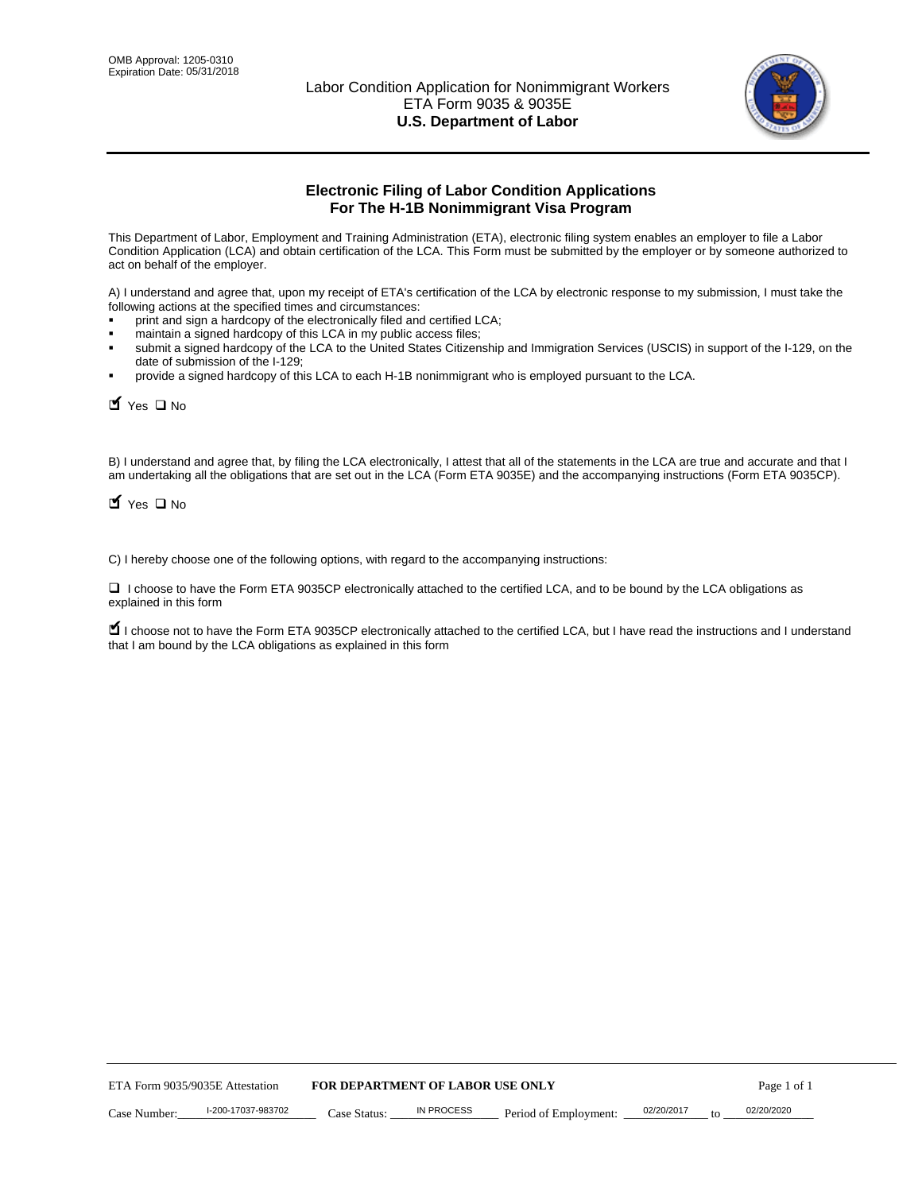

# **Electronic Filing of Labor Condition Applications For The H-1B Nonimmigrant Visa Program**

This Department of Labor, Employment and Training Administration (ETA), electronic filing system enables an employer to file a Labor Condition Application (LCA) and obtain certification of the LCA. This Form must be submitted by the employer or by someone authorized to act on behalf of the employer.

A) I understand and agree that, upon my receipt of ETA's certification of the LCA by electronic response to my submission, I must take the following actions at the specified times and circumstances:

- print and sign a hardcopy of the electronically filed and certified LCA;
- maintain a signed hardcopy of this LCA in my public access files;
- submit a signed hardcopy of the LCA to the United States Citizenship and Immigration Services (USCIS) in support of the I-129, on the date of submission of the I-129;
- provide a signed hardcopy of this LCA to each H-1B nonimmigrant who is employed pursuant to the LCA.

| Yes O No                                                                                                                                                                                                                                                                                                              |                                  |                   |                       |                  |             |
|-----------------------------------------------------------------------------------------------------------------------------------------------------------------------------------------------------------------------------------------------------------------------------------------------------------------------|----------------------------------|-------------------|-----------------------|------------------|-------------|
| B) I understand and agree that, by filing the LCA electronically, I attest that all of the statements in the LCA are true and accurate and th<br>am undertaking all the obligations that are set out in the LCA (Form ETA 9035E) and the accompanying instructions (Form ETA 9035C<br>$\blacksquare$ Yes $\square$ No |                                  |                   |                       |                  |             |
| C) I hereby choose one of the following options, with regard to the accompanying instructions:                                                                                                                                                                                                                        |                                  |                   |                       |                  |             |
| □ I choose to have the Form ETA 9035CP electronically attached to the certified LCA, and to be bound by the LCA obligations as<br>explained in this form                                                                                                                                                              |                                  |                   |                       |                  |             |
| I choose not to have the Form ETA 9035CP electronically attached to the certified LCA, but I have read the instructions and I unders<br>that I am bound by the LCA obligations as explained in this form                                                                                                              |                                  |                   |                       |                  |             |
|                                                                                                                                                                                                                                                                                                                       |                                  |                   |                       |                  |             |
|                                                                                                                                                                                                                                                                                                                       |                                  |                   |                       |                  |             |
|                                                                                                                                                                                                                                                                                                                       |                                  |                   |                       |                  |             |
|                                                                                                                                                                                                                                                                                                                       |                                  |                   |                       |                  |             |
|                                                                                                                                                                                                                                                                                                                       |                                  |                   |                       |                  |             |
|                                                                                                                                                                                                                                                                                                                       |                                  |                   |                       |                  |             |
|                                                                                                                                                                                                                                                                                                                       |                                  |                   |                       |                  |             |
|                                                                                                                                                                                                                                                                                                                       |                                  |                   |                       |                  |             |
|                                                                                                                                                                                                                                                                                                                       |                                  |                   |                       |                  |             |
|                                                                                                                                                                                                                                                                                                                       |                                  |                   |                       |                  |             |
| ETA Form 9035/9035E Attestation                                                                                                                                                                                                                                                                                       | FOR DEPARTMENT OF LABOR USE ONLY |                   |                       |                  | Page 1 of 1 |
| I-200-17037-983702<br>Case Number:                                                                                                                                                                                                                                                                                    | Case Status:                     | <b>IN PROCESS</b> | Period of Employment: | 02/20/2017<br>to | 02/20/2020  |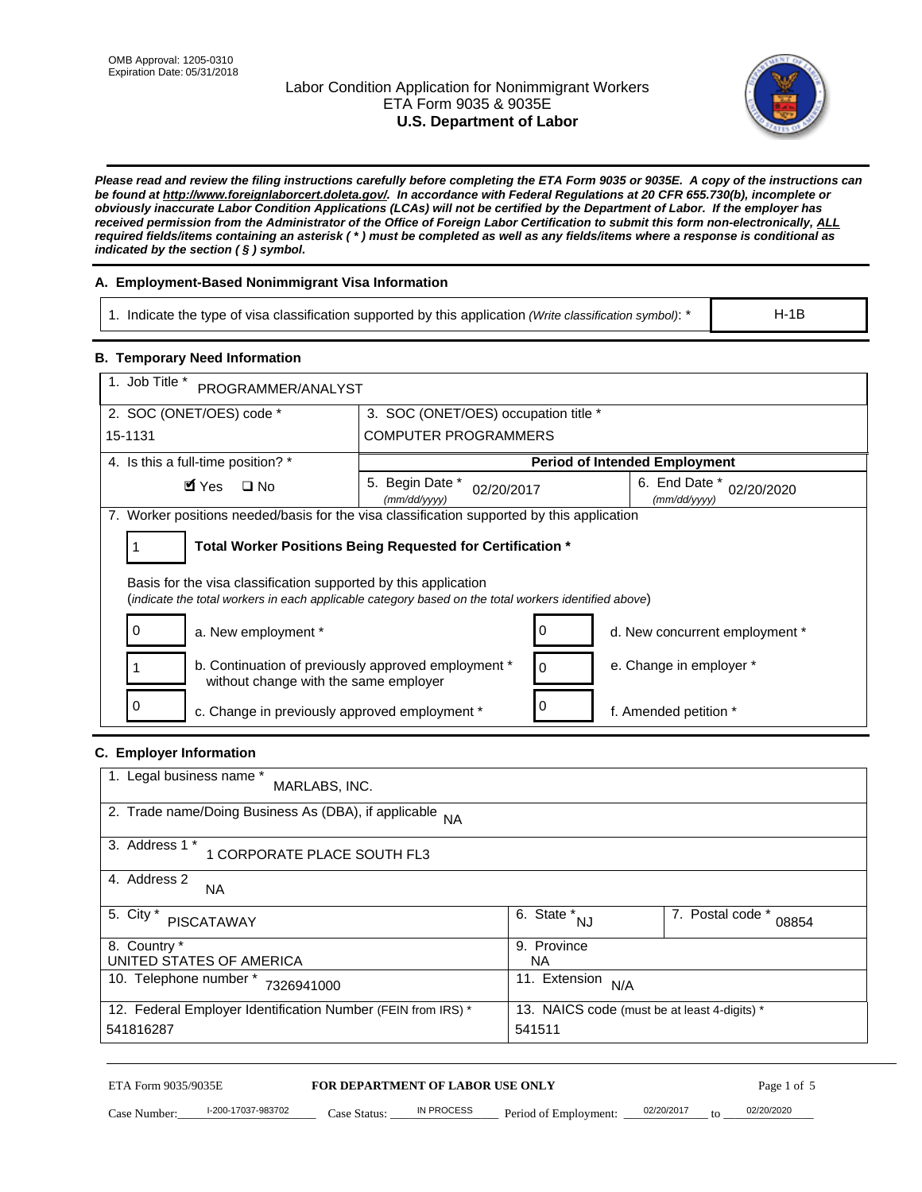# Labor Condition Application for Nonimmigrant Workers ETA Form 9035 & 9035E **U.S. Department of Labor**



*Please read and review the filing instructions carefully before completing the ETA Form 9035 or 9035E. A copy of the instructions can be found at http://www.foreignlaborcert.doleta.gov/. In accordance with Federal Regulations at 20 CFR 655.730(b), incomplete or obviously inaccurate Labor Condition Applications (LCAs) will not be certified by the Department of Labor. If the employer has received permission from the Administrator of the Office of Foreign Labor Certification to submit this form non-electronically, ALL required fields/items containing an asterisk ( \* ) must be completed as well as any fields/items where a response is conditional as indicated by the section ( § ) symbol.* 

# **A. Employment-Based Nonimmigrant Visa Information**

1. Indicate the type of visa classification supported by this application *(Write classification symbol)*: \*

#### **B. Temporary Need Information**

| 1. Indicate the type of visa classification supported by this application (Write classification symbol): *                                                              |                                                                             |                                                 |                                              | $H-1B$                    |  |
|-------------------------------------------------------------------------------------------------------------------------------------------------------------------------|-----------------------------------------------------------------------------|-------------------------------------------------|----------------------------------------------|---------------------------|--|
| <b>B. Temporary Need Information</b>                                                                                                                                    |                                                                             |                                                 |                                              |                           |  |
| 1. Job Title *<br>PROGRAMMER/ANALYST                                                                                                                                    |                                                                             |                                                 |                                              |                           |  |
| 2. SOC (ONET/OES) code *                                                                                                                                                | 3. SOC (ONET/OES) occupation title *                                        |                                                 |                                              |                           |  |
| 15-1131                                                                                                                                                                 | <b>COMPUTER PROGRAMMERS</b>                                                 |                                                 |                                              |                           |  |
| 4. Is this a full-time position? *                                                                                                                                      | <b>Period of Intended Employment</b>                                        |                                                 |                                              |                           |  |
| $\blacksquare$ Yes<br>$\square$ No                                                                                                                                      | 5. Begin Date *<br>02/20/2017<br>(mm/dd/yyyy)                               |                                                 | 6. End Date *<br>(mm/dd/yyyy)                | 02/20/2020                |  |
| 7. Worker positions needed/basis for the visa classification supported by this application                                                                              |                                                                             |                                                 |                                              |                           |  |
| Total Worker Positions Being Requested for Certification *<br>1                                                                                                         |                                                                             |                                                 |                                              |                           |  |
| Basis for the visa classification supported by this application<br>(indicate the total workers in each applicable category based on the total workers identified above) |                                                                             |                                                 |                                              |                           |  |
| 0<br>a. New employment *                                                                                                                                                |                                                                             | 0                                               | d. New concurrent employment *               |                           |  |
| b. Continuation of previously approved employment *<br>0<br>without change with the same employer                                                                       |                                                                             |                                                 | e. Change in employer *                      |                           |  |
| 0                                                                                                                                                                       | 0<br>c. Change in previously approved employment *<br>f. Amended petition * |                                                 |                                              |                           |  |
| C. Employer Information                                                                                                                                                 |                                                                             |                                                 |                                              |                           |  |
| 1. Legal business name *<br>MARLABS, INC.                                                                                                                               |                                                                             |                                                 |                                              |                           |  |
| 2. Trade name/Doing Business As (DBA), if applicable NA                                                                                                                 |                                                                             |                                                 |                                              |                           |  |
| 3. Address 1 *<br>1 CORPORATE PLACE SOUTH FL3                                                                                                                           |                                                                             |                                                 |                                              |                           |  |
| 4. Address 2<br>NA.                                                                                                                                                     |                                                                             |                                                 |                                              |                           |  |
| 5. City *<br><b>PISCATAWAY</b>                                                                                                                                          |                                                                             | $\overline{6. \quad \text{State}}^*_{\quad NJ}$ |                                              | 7. Postal code *<br>08854 |  |
| 8. Country *<br>9. Province<br>UNITED STATES OF AMERICA<br><b>NA</b>                                                                                                    |                                                                             |                                                 |                                              |                           |  |
| 10. Telephone number * 7326941000                                                                                                                                       |                                                                             | 11. Extension $N/A$                             |                                              |                           |  |
| 12. Federal Employer Identification Number (FEIN from IRS) *<br>541816287                                                                                               |                                                                             | 541511                                          | 13. NAICS code (must be at least 4-digits) * |                           |  |
| ETA Form 9035/9035E                                                                                                                                                     | FOR DEPARTMENT OF LABOR USE ONLY                                            |                                                 |                                              | Page 1 of 5               |  |
| I-200-17037-983702<br>Case Number:<br>$Case$ Statue                                                                                                                     | IN PROCESS                                                                  | Period of Employment:                           | 02/20/2017                                   | 02/20/2020                |  |

# **C. Employer Information**

| 1. Legal business name *<br>MARLABS, INC.                    |                                              |                           |
|--------------------------------------------------------------|----------------------------------------------|---------------------------|
| 2. Trade name/Doing Business As (DBA), if applicable NA      |                                              |                           |
| 3. Address 1 *<br>1 CORPORATE PLACE SOUTH FL3                |                                              |                           |
| 4. Address 2<br><b>NA</b>                                    |                                              |                           |
| 5. City *<br><b>PISCATAWAY</b>                               | 6. State *<br><b>NJ</b>                      | 7. Postal code *<br>08854 |
| 8. Country *                                                 | 9. Province                                  |                           |
| UNITED STATES OF AMERICA                                     | NA.                                          |                           |
| 10. Telephone number *<br>7326941000                         | 11. Extension<br>N/A                         |                           |
| 12. Federal Employer Identification Number (FEIN from IRS) * | 13. NAICS code (must be at least 4-digits) * |                           |
| 541816287                                                    | 541511                                       |                           |

# ETA Form 9035/9035E **FOR DEPARTMENT OF LABOR USE ONLY** Page 1 of 5<br>Case Number: 1-200-17037-983702 Case Status: IN PROCESS Period of Employment: 02/20/2017 to 02/20/2020

Case Number: 1-200-17037-983702 Case Status: IN PROCESS Period of Employment: 02/20/2017 to 02/20/2020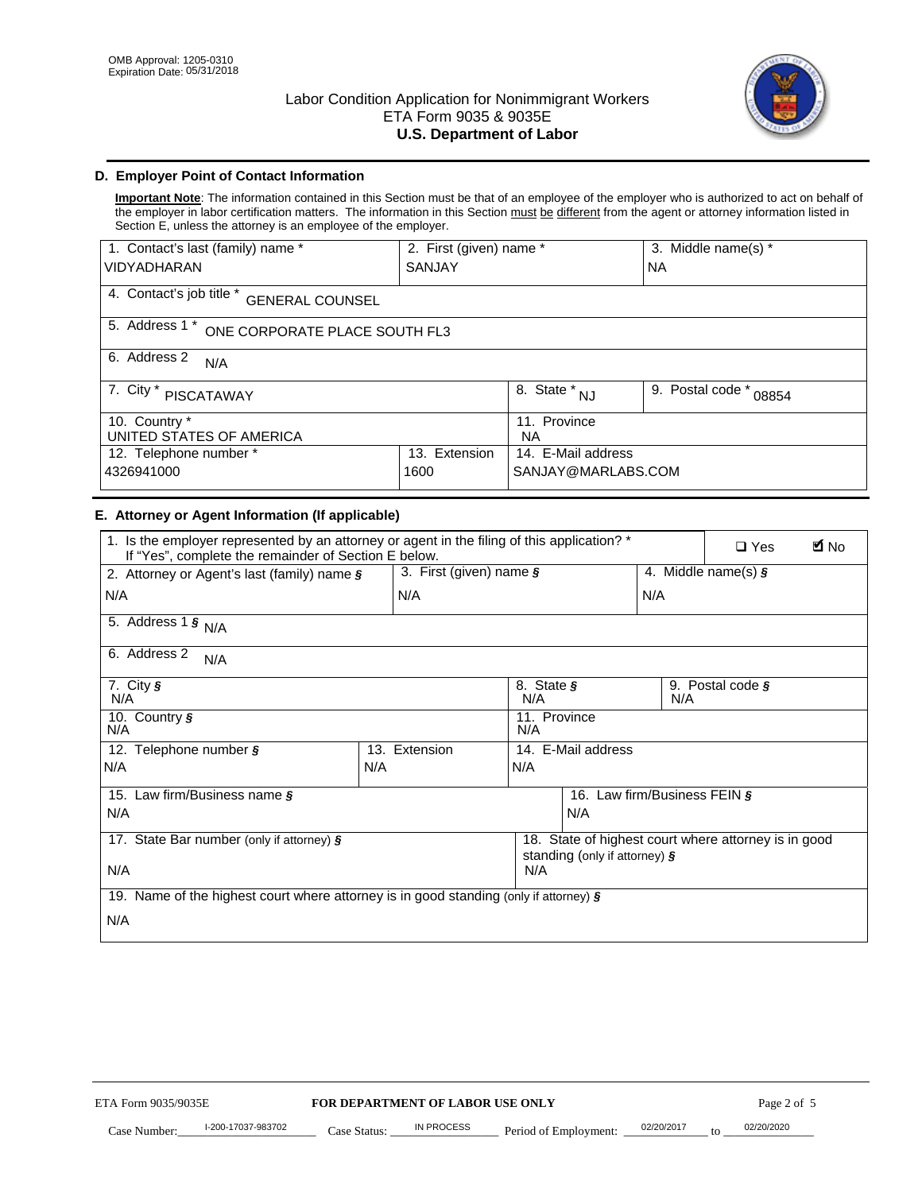

# **D. Employer Point of Contact Information**

**Important Note**: The information contained in this Section must be that of an employee of the employer who is authorized to act on behalf of the employer in labor certification matters. The information in this Section must be different from the agent or attorney information listed in Section E, unless the attorney is an employee of the employer.

| 1. Contact's last (family) name *                  | 2. First (given) name * |                                | 3. Middle name(s) *       |  |
|----------------------------------------------------|-------------------------|--------------------------------|---------------------------|--|
| <b>VIDYADHARAN</b>                                 | <b>SANJAY</b>           |                                | <b>NA</b>                 |  |
| 4. Contact's job title *<br><b>GENERAL COUNSEL</b> |                         |                                |                           |  |
| 5. Address 1 *<br>ONE CORPORATE PLACE SOUTH FL3    |                         |                                |                           |  |
| 6. Address 2<br>N/A                                |                         |                                |                           |  |
| 7. City $*$<br>PISCATAWAY                          |                         | $\overline{8}$ . State *<br>NJ | 9. Postal code *<br>08854 |  |
| 10. Country *<br>UNITED STATES OF AMERICA          |                         | 11. Province<br><b>NA</b>      |                           |  |
| Extension<br>12. Telephone number *<br>13.         |                         | 14. E-Mail address             |                           |  |
| 4326941000<br>1600                                 |                         | SANJAY@MARLABS.COM             |                           |  |

# **E. Attorney or Agent Information (If applicable)**

| VIDYADHARAN                                                                                                                                         | SANJAY                           |                                           |                                          | <b>NA</b>                    |                                                      |                        |
|-----------------------------------------------------------------------------------------------------------------------------------------------------|----------------------------------|-------------------------------------------|------------------------------------------|------------------------------|------------------------------------------------------|------------------------|
| 4. Contact's job title * GENERAL COUNSEL                                                                                                            |                                  |                                           |                                          |                              |                                                      |                        |
| 5. Address 1 * ONE CORPORATE PLACE SOUTH FL3                                                                                                        |                                  |                                           |                                          |                              |                                                      |                        |
| 6. Address 2<br>N/A                                                                                                                                 |                                  |                                           |                                          |                              |                                                      |                        |
| 7. City * PISCATAWAY                                                                                                                                |                                  | $\overline{\phantom{a}}$ 8. State $^*$ NJ |                                          | 9. Postal code *             | 08854                                                |                        |
| 10. Country *<br>UNITED STATES OF AMERICA                                                                                                           |                                  | 11. Province<br><b>NA</b>                 |                                          |                              |                                                      |                        |
| 12. Telephone number *<br>4326941000                                                                                                                | 13. Extension<br>1600            |                                           | 14. E-Mail address<br>SANJAY@MARLABS.COM |                              |                                                      |                        |
| E. Attorney or Agent Information (If applicable)                                                                                                    |                                  |                                           |                                          |                              |                                                      |                        |
| 1. Is the employer represented by an attorney or agent in the filing of this application? *<br>If "Yes", complete the remainder of Section E below. |                                  |                                           |                                          |                              | $\Box$ Yes                                           | <b>M</b> <sub>No</sub> |
| 2. Attorney or Agent's last (family) name §                                                                                                         | 3. First (given) name §          |                                           |                                          |                              | 4. Middle name(s) $\sqrt{s}$                         |                        |
| N/A                                                                                                                                                 | N/A                              |                                           |                                          | N/A                          |                                                      |                        |
| 5. Address 1 $\frac{1}{9}$ N/A                                                                                                                      |                                  |                                           |                                          |                              |                                                      |                        |
| 6. Address 2<br>N/A                                                                                                                                 |                                  |                                           |                                          |                              |                                                      |                        |
| 7. City §<br>N/A                                                                                                                                    |                                  | 8. State §<br>N/A                         |                                          | N/A                          | 9. Postal code §                                     |                        |
| 10. Country §<br>N/A                                                                                                                                |                                  | 11. Province<br>N/A                       |                                          |                              |                                                      |                        |
| 12. Telephone number §                                                                                                                              | 13. Extension                    | 14. E-Mail address                        |                                          |                              |                                                      |                        |
| N/A                                                                                                                                                 | N/A                              | N/A                                       |                                          |                              |                                                      |                        |
| 15. Law firm/Business name §                                                                                                                        |                                  |                                           |                                          | 16. Law firm/Business FEIN § |                                                      |                        |
| N/A                                                                                                                                                 |                                  |                                           | N/A                                      |                              |                                                      |                        |
| 17. State Bar number (only if attorney) §                                                                                                           |                                  |                                           | standing (only if attorney) §            |                              | 18. State of highest court where attorney is in good |                        |
| N/A                                                                                                                                                 |                                  | N/A                                       |                                          |                              |                                                      |                        |
| 19. Name of the highest court where attorney is in good standing (only if attorney) §                                                               |                                  |                                           |                                          |                              |                                                      |                        |
| N/A                                                                                                                                                 |                                  |                                           |                                          |                              |                                                      |                        |
|                                                                                                                                                     |                                  |                                           |                                          |                              |                                                      |                        |
|                                                                                                                                                     |                                  |                                           |                                          |                              |                                                      |                        |
|                                                                                                                                                     |                                  |                                           |                                          |                              |                                                      |                        |
|                                                                                                                                                     |                                  |                                           |                                          |                              |                                                      |                        |
|                                                                                                                                                     |                                  |                                           |                                          |                              |                                                      |                        |
|                                                                                                                                                     |                                  |                                           |                                          |                              |                                                      |                        |
| ETA Form 9035/9035E                                                                                                                                 | FOR DEPARTMENT OF LABOR USE ONLY |                                           |                                          |                              | Page 2 of 5                                          |                        |
| I-200-17037-983702                                                                                                                                  | IN PROCESS                       |                                           |                                          | 02/20/2017                   | 02/20/2020                                           |                        |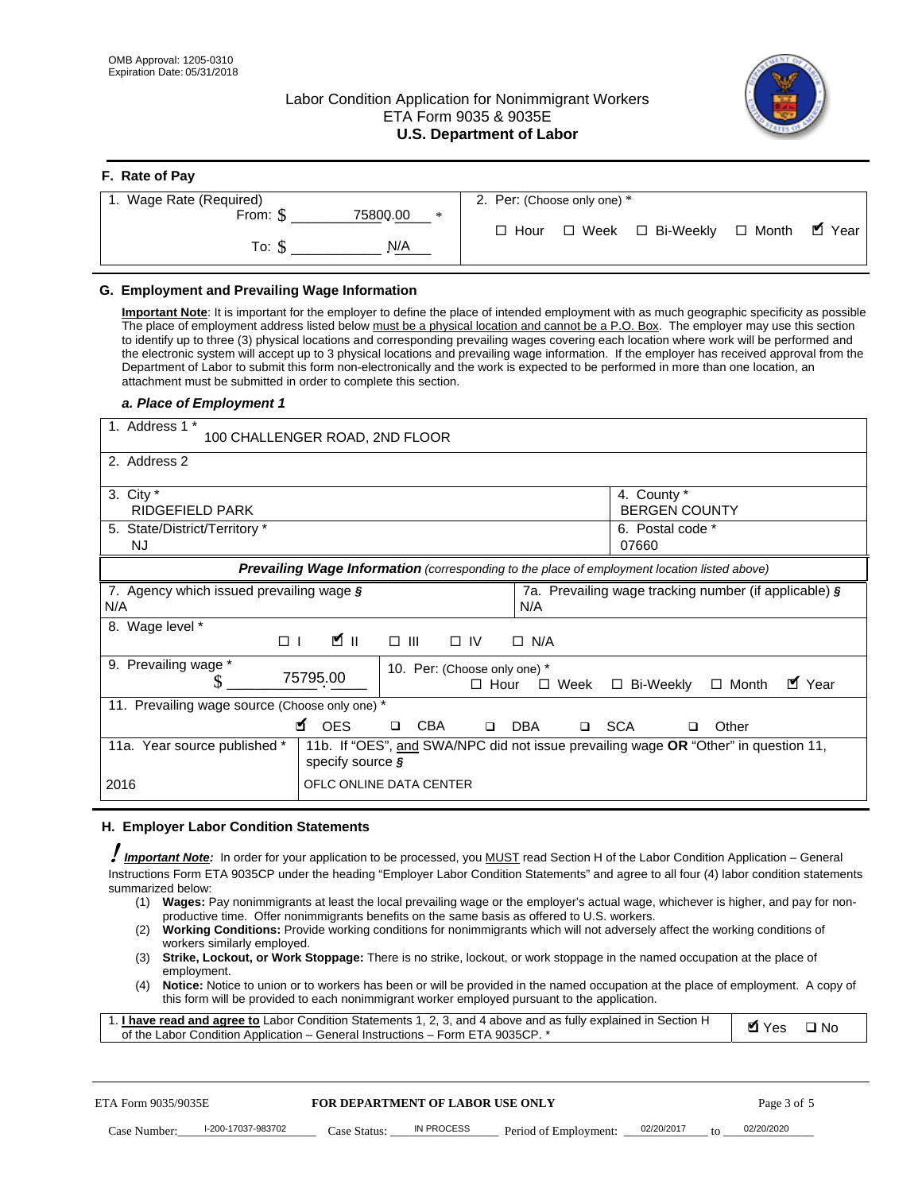**F. Rate of Pay** 

# Labor Condition Application for Nonimmigrant Workers ETA Form 9035 & 9035E **U.S. Department of Labor**



| <b>F.</b> Rate of Pay       |                                                     |
|-----------------------------|-----------------------------------------------------|
| 1. Wage Rate (Required)     | 2. Per: (Choose only one) *                         |
| 75800.00<br>From: \$<br>$*$ | □ Month ■ Year<br>□ Week □ Bi-Weekly<br>$\Box$ Hour |
| N/A<br>To: \$               |                                                     |

## **G. Employment and Prevailing Wage Information**

#### *a. Place of Employment 1*

| From: \$                                                                                                                                                                                                                                                                                                                                                                                                                                                                                                                                                                                                                                                                                                                                                                                                                                                              | 75800.00<br>$\ast$<br>To: $\S$<br>N/A                                                                                                                                                                                                                                                                                                                                                                                                                                                                                                                                                                                                                                                                                                | $\Box$ Hour                                                                          | $\Box$ Week $\Box$ Bi-Weekly                                     | $\blacksquare$ Year<br>$\Box$ Month |
|-----------------------------------------------------------------------------------------------------------------------------------------------------------------------------------------------------------------------------------------------------------------------------------------------------------------------------------------------------------------------------------------------------------------------------------------------------------------------------------------------------------------------------------------------------------------------------------------------------------------------------------------------------------------------------------------------------------------------------------------------------------------------------------------------------------------------------------------------------------------------|--------------------------------------------------------------------------------------------------------------------------------------------------------------------------------------------------------------------------------------------------------------------------------------------------------------------------------------------------------------------------------------------------------------------------------------------------------------------------------------------------------------------------------------------------------------------------------------------------------------------------------------------------------------------------------------------------------------------------------------|--------------------------------------------------------------------------------------|------------------------------------------------------------------|-------------------------------------|
| G. Employment and Prevailing Wage Information<br>Important Note: It is important for the employer to define the place of intended employment with as much geographic specificity as possible<br>The place of employment address listed below must be a physical location and cannot be a P.O. Box. The employer may use this section<br>to identify up to three (3) physical locations and corresponding prevailing wages covering each location where work will be performed and<br>the electronic system will accept up to 3 physical locations and prevailing wage information. If the employer has received approval from the<br>Department of Labor to submit this form non-electronically and the work is expected to be performed in more than one location, an<br>attachment must be submitted in order to complete this section.<br>a. Place of Employment 1 |                                                                                                                                                                                                                                                                                                                                                                                                                                                                                                                                                                                                                                                                                                                                      |                                                                                      |                                                                  |                                     |
| 1. Address 1 *                                                                                                                                                                                                                                                                                                                                                                                                                                                                                                                                                                                                                                                                                                                                                                                                                                                        | 100 CHALLENGER ROAD, 2ND FLOOR                                                                                                                                                                                                                                                                                                                                                                                                                                                                                                                                                                                                                                                                                                       |                                                                                      |                                                                  |                                     |
| 2. Address 2<br>3. City $*$<br><b>RIDGEFIELD PARK</b><br>5. State/District/Territory *<br><b>NJ</b>                                                                                                                                                                                                                                                                                                                                                                                                                                                                                                                                                                                                                                                                                                                                                                   |                                                                                                                                                                                                                                                                                                                                                                                                                                                                                                                                                                                                                                                                                                                                      |                                                                                      | 4. County *<br><b>BERGEN COUNTY</b><br>6. Postal code *<br>07660 |                                     |
| 7. Agency which issued prevailing wage §<br>N/A                                                                                                                                                                                                                                                                                                                                                                                                                                                                                                                                                                                                                                                                                                                                                                                                                       | Prevailing Wage Information (corresponding to the place of employment location listed above)                                                                                                                                                                                                                                                                                                                                                                                                                                                                                                                                                                                                                                         | N/A                                                                                  | 7a. Prevailing wage tracking number (if applicable) §            |                                     |
| 8. Wage level *<br>$\Box$                                                                                                                                                                                                                                                                                                                                                                                                                                                                                                                                                                                                                                                                                                                                                                                                                                             | <b>M</b><br>$\Box$<br>III                                                                                                                                                                                                                                                                                                                                                                                                                                                                                                                                                                                                                                                                                                            | $\Box$ IV<br>$\Box$ N/A                                                              |                                                                  |                                     |
| 9. Prevailing wage *<br>S<br>11. Prevailing wage source (Choose only one) *                                                                                                                                                                                                                                                                                                                                                                                                                                                                                                                                                                                                                                                                                                                                                                                           | 75795.00<br><b>¤</b> OES<br><b>CBA</b><br>$\Box$                                                                                                                                                                                                                                                                                                                                                                                                                                                                                                                                                                                                                                                                                     | 10. Per: (Choose only one) *<br>$\Box$ Hour<br>$\Box$ Week<br>□ SCA<br>DBA<br>$\Box$ | □ Bi-Weekly<br>□                                                 | ■ Year<br>$\Box$ Month<br>Other     |
| 11a. Year source published *<br>2016                                                                                                                                                                                                                                                                                                                                                                                                                                                                                                                                                                                                                                                                                                                                                                                                                                  | 11b. If "OES", and SWA/NPC did not issue prevailing wage OR "Other" in question 11,<br>specify source $\boldsymbol{\S}$<br>OFLC ONLINE DATA CENTER                                                                                                                                                                                                                                                                                                                                                                                                                                                                                                                                                                                   |                                                                                      |                                                                  |                                     |
| H. Employer Labor Condition Statements<br>Important Note: In order for your application to be processed, you MUST read Section H of the Labor Condition Application - General<br>Instructions Form ETA 9035CP under the heading "Employer Labor Condition Statements" and agree to all four (4) labor condition statements<br>summarized below:<br>(1)<br>(2)<br>workers similarly employed.<br>(3)<br>employment.<br>(4)<br>1. <i>I have read and agree to</i> Labor Condition Statements 1, 2, 3, and 4 above and as fully explained in Section H<br>of the Labor Condition Application - General Instructions - Form ETA 9035CP. *                                                                                                                                                                                                                                 | Wages: Pay nonimmigrants at least the local prevailing wage or the employer's actual wage, whichever is higher, and pay for non-<br>productive time. Offer nonimmigrants benefits on the same basis as offered to U.S. workers.<br><b>Working Conditions:</b> Provide working conditions for nonimmigrants which will not adversely affect the working conditions of<br>Strike, Lockout, or Work Stoppage: There is no strike, lockout, or work stoppage in the named occupation at the place of<br>Notice: Notice to union or to workers has been or will be provided in the named occupation at the place of employment. A copy of<br>this form will be provided to each nonimmigrant worker employed pursuant to the application. |                                                                                      |                                                                  | <b>Ø</b> Yes<br>$\square$ No        |
| ETA Form 9035/9035E<br>I-200-17037-983702<br>Case Number:                                                                                                                                                                                                                                                                                                                                                                                                                                                                                                                                                                                                                                                                                                                                                                                                             | <b>FOR DEPARTMENT OF LABOR USE ONLY</b><br>IN PROCESS<br>Case Status: .                                                                                                                                                                                                                                                                                                                                                                                                                                                                                                                                                                                                                                                              | Period of Employment:                                                                | 02/20/2017                                                       | Page 3 of 5<br>02/20/2020           |

#### **H. Employer Labor Condition Statements**

- (1) **Wages:** Pay nonimmigrants at least the local prevailing wage or the employer's actual wage, whichever is higher, and pay for nonproductive time. Offer nonimmigrants benefits on the same basis as offered to U.S. workers.
- (2) **Working Conditions:** Provide working conditions for nonimmigrants which will not adversely affect the working conditions of workers similarly employed.
- (3) **Strike, Lockout, or Work Stoppage:** There is no strike, lockout, or work stoppage in the named occupation at the place of employment.
- (4) **Notice:** Notice to union or to workers has been or will be provided in the named occupation at the place of employment. A copy of this form will be provided to each nonimmigrant worker employed pursuant to the application.

| 1. I have read and agree to Labor Condition Statements 1, 2, 3, and 4 above and as fully explained in Section H | Øl Yes | $\Box$ No |
|-----------------------------------------------------------------------------------------------------------------|--------|-----------|
| of the Labor Condition Application – General Instructions – Form ETA 9035CP. *                                  |        |           |

| ETA Form 9035/9035E |                    | <b>FOR DEPARTMENT OF LABOR USE ONLY</b> |            |                       | Page 3 of 5 |    |            |
|---------------------|--------------------|-----------------------------------------|------------|-----------------------|-------------|----|------------|
| Case Number:        | l-200-17037-983702 | Case Status:                            | IN PROCESS | Period of Employment: | 02/20/2017  | to | 02/20/2020 |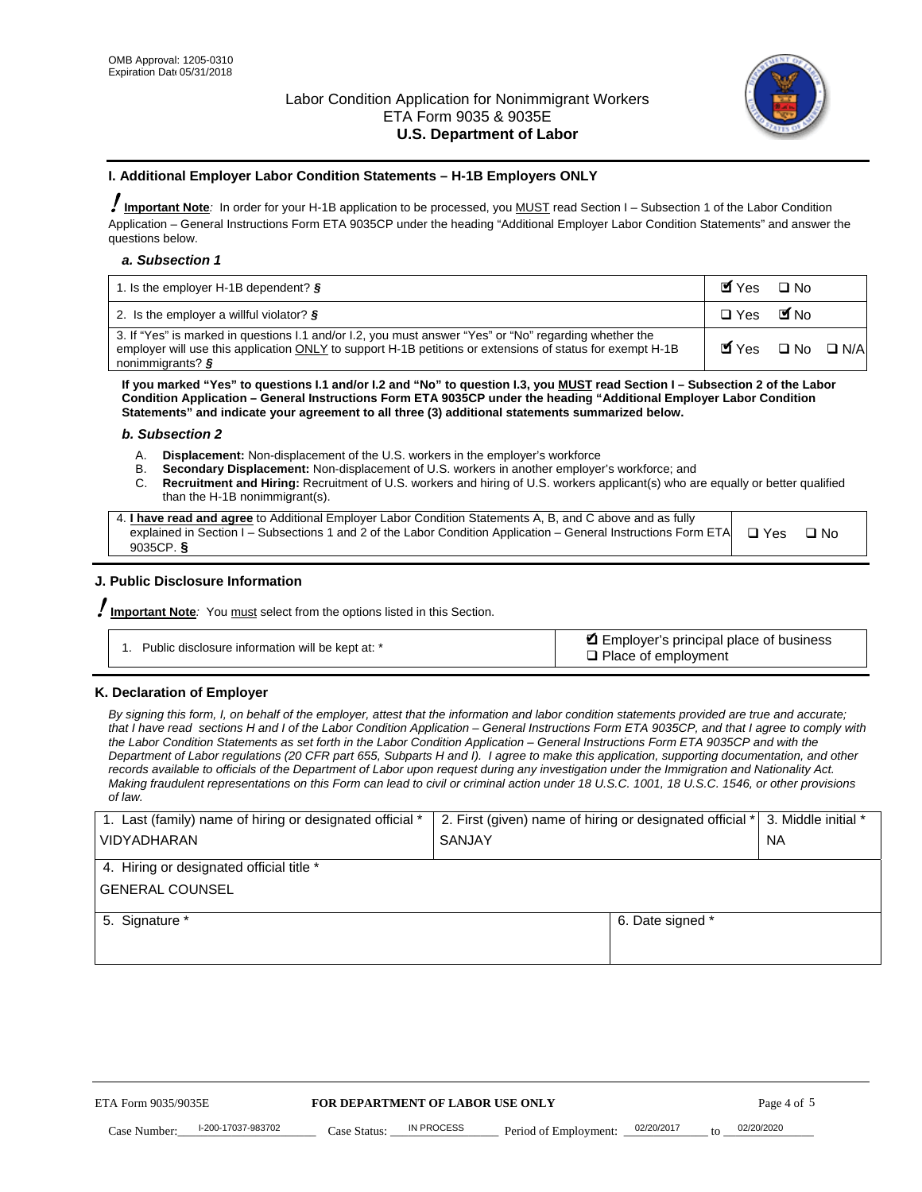

#### **I. Additional Employer Labor Condition Statements – H-1B Employers ONLY**

!**Important Note***:* In order for your H-1B application to be processed, you MUST read Section I – Subsection 1 of the Labor Condition Application – General Instructions Form ETA 9035CP under the heading "Additional Employer Labor Condition Statements" and answer the questions below.

#### *a. Subsection 1*

| 1. Is the employer H-1B dependent? $\S$                                                                                                                                                                                                             | $Y$ es $\Box$ No                              |  |
|-----------------------------------------------------------------------------------------------------------------------------------------------------------------------------------------------------------------------------------------------------|-----------------------------------------------|--|
| 2. Is the employer a willful violator? $\S$                                                                                                                                                                                                         | □ Yes ■ No                                    |  |
| 3. If "Yes" is marked in questions I.1 and/or I.2, you must answer "Yes" or "No" regarding whether the<br>employer will use this application ONLY to support H-1B petitions or extensions of status for exempt H-1B<br>nonimmigrants? $\frac{1}{2}$ | $\blacksquare$ Yes $\square$ No $\square$ N/A |  |

**If you marked "Yes" to questions I.1 and/or I.2 and "No" to question I.3, you MUST read Section I – Subsection 2 of the Labor Condition Application – General Instructions Form ETA 9035CP under the heading "Additional Employer Labor Condition Statements" and indicate your agreement to all three (3) additional statements summarized below.** 

#### *b. Subsection 2*

- A. **Displacement:** Non-displacement of the U.S. workers in the employer's workforce
- B. **Secondary Displacement:** Non-displacement of U.S. workers in another employer's workforce; and
- C. **Recruitment and Hiring:** Recruitment of U.S. workers and hiring of U.S. workers applicant(s) who are equally or better qualified than the H-1B nonimmigrant(s).

| 4. I have read and agree to Additional Employer Labor Condition Statements A, B, and C above and as fully                  |      |
|----------------------------------------------------------------------------------------------------------------------------|------|
| explained in Section I – Subsections 1 and 2 of the Labor Condition Application – General Instructions Form ETA $\Box$ Yes | ∩ Nח |
| 9035CP. $\delta$                                                                                                           |      |

# **J. Public Disclosure Information**

!**Important Note***:* You must select from the options listed in this Section.

| Public disclosure information will be kept at: * | Employer's principal place of business<br>$\Box$ Place of employment |
|--------------------------------------------------|----------------------------------------------------------------------|
|--------------------------------------------------|----------------------------------------------------------------------|

#### **K. Declaration of Employer**

*By signing this form, I, on behalf of the employer, attest that the information and labor condition statements provided are true and accurate;*  that I have read sections H and I of the Labor Condition Application – General Instructions Form ETA 9035CP, and that I agree to comply with *the Labor Condition Statements as set forth in the Labor Condition Application – General Instructions Form ETA 9035CP and with the Department of Labor regulations (20 CFR part 655, Subparts H and I). I agree to make this application, supporting documentation, and other records available to officials of the Department of Labor upon request during any investigation under the Immigration and Nationality Act. Making fraudulent representations on this Form can lead to civil or criminal action under 18 U.S.C. 1001, 18 U.S.C. 1546, or other provisions of law.* 

| 1. Last (family) name of hiring or designated official * | 2. First (given) name of hiring or designated official * |                                 | 3. Middle initial * |
|----------------------------------------------------------|----------------------------------------------------------|---------------------------------|---------------------|
| <b>VIDYADHARAN</b>                                       | <b>SANJAY</b>                                            |                                 | <b>NA</b>           |
| 4. Hiring or designated official title *                 |                                                          |                                 |                     |
| <b>GENERAL COUNSEL</b>                                   |                                                          |                                 |                     |
| 5. Signature *                                           |                                                          | 6. Date signed *                |                     |
|                                                          |                                                          |                                 |                     |
|                                                          |                                                          |                                 |                     |
|                                                          |                                                          |                                 |                     |
|                                                          |                                                          |                                 |                     |
|                                                          |                                                          |                                 |                     |
| FOR DEPARTMENT OF LABOR USE ONLY<br>ETA Form 9035/9035E  |                                                          |                                 | Page 4 of 5         |
| I-200-17037-983702<br>Case Number<br>Case Status:        | IN PROCESS<br>Period of Employment:                      | 02/20/2017<br>$\mathsf{t} \cap$ | 02/20/2020          |